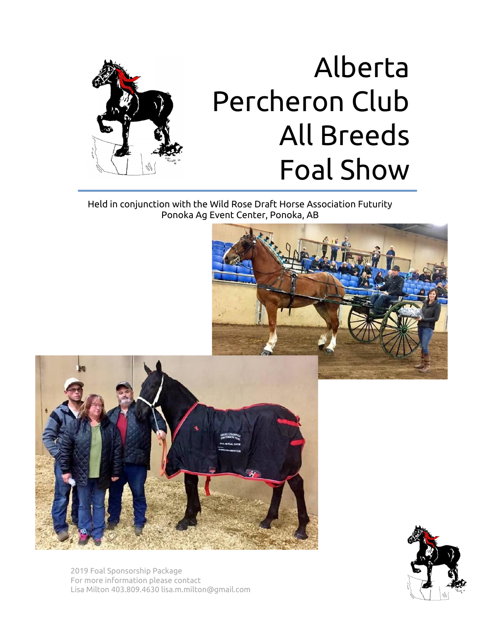

# Alberta Percheron Club All Breeds Foal Show

Held in conjunction with the Wild Rose Draft Horse Association Futurity Ponoka Ag Event Center, Ponoka, AB





2019 Foal Sponsorship Package For more information please contact Lisa Milton 403.809.4630 lisa.m.milton@gmail.com

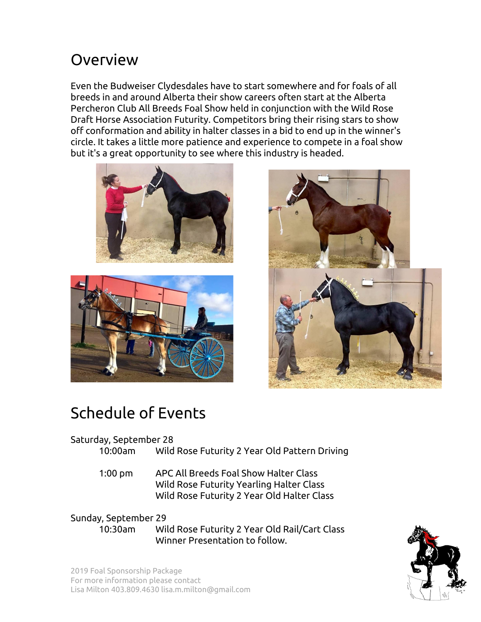## Overview

Even the Budweiser Clydesdales have to start somewhere and for foals of all breeds in and around Alberta their show careers often start at the Alberta Percheron Club All Breeds Foal Show held in conjunction with the Wild Rose Draft Horse Association Futurity. Competitors bring their rising stars to show off conformation and ability in halter classes in a bid to end up in the winner's circle. It takes a little more patience and experience to compete in a foal show but it's a great opportunity to see where this industry is headed.







## Schedule of Events

### Saturday, September 28

- 10:00am Wild Rose Futurity 2 Year Old Pattern Driving
- 1:00 pm APC All Breeds Foal Show Halter Class Wild Rose Futurity Yearling Halter Class Wild Rose Futurity 2 Year Old Halter Class

## Sunday, September 29

10:30am Wild Rose Futurity 2 Year Old Rail/Cart Class Winner Presentation to follow.



2019 Foal Sponsorship Package For more information please contact Lisa Milton 403.809.4630 lisa.m.milton@gmail.com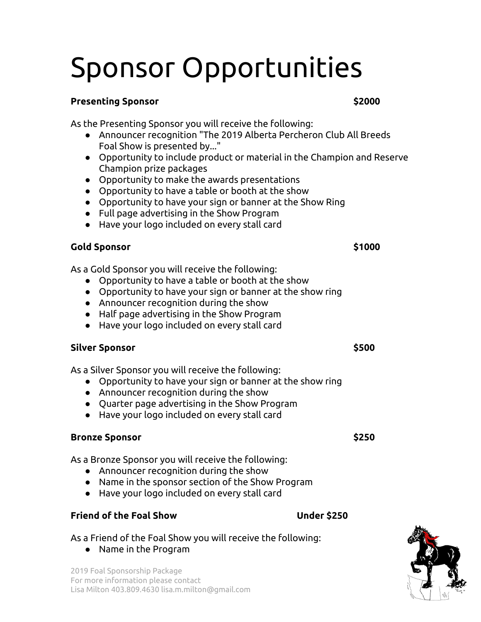# Sponsor Opportunities

#### **Presenting Sponsor \$2000**

As the Presenting Sponsor you will receive the following:

- Announcer recognition "The 2019 Alberta Percheron Club All Breeds Foal Show is presented by..."
- Opportunity to include product or material in the Champion and Reserve Champion prize packages
- Opportunity to make the awards presentations
- Opportunity to have a table or booth at the show
- Opportunity to have your sign or banner at the Show Ring
- Full page advertising in the Show Program
- Have your logo included on every stall card

### **Gold Sponsor \$1000**

As a Gold Sponsor you will receive the following:

- Opportunity to have a table or booth at the show
- Opportunity to have your sign or banner at the show ring
- Announcer recognition during the show
- Half page advertising in the Show Program
- Have your logo included on every stall card

#### **Silver Sponsor \$500**

As a Silver Sponsor you will receive the following:

- Opportunity to have your sign or banner at the show ring
- Announcer recognition during the show
- Quarter page advertising in the Show Program
- Have your logo included on every stall card

#### **Bronze Sponsor \$250**

As a Bronze Sponsor you will receive the following:

- Announcer recognition during the show
- Name in the sponsor section of the Show Program
- Have your logo included on every stall card

### **Friend of the Foal Show Under \$250**

### As a Friend of the Foal Show you will receive the following:

● Name in the Program

2019 Foal Sponsorship Package For more information please contact Lisa Milton 403.809.4630 lisa.m.milton@gmail.com